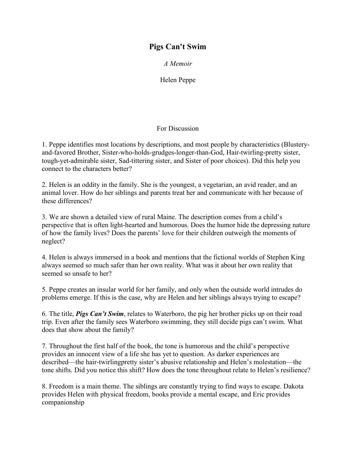## **Pigs Can't Swim**

*A Memoir*

Helen Peppe

## For Discussion

1. Peppe identifies most locations by descriptions, and most people by characteristics (Blusteryand-favored Brother, Sister-who-holds-grudges-longer-than-God, Hair-twirling-pretty sister, tough-yet-admirable sister, Sad-tittering sister, and Sister of poor choices). Did this help you connect to the characters better?

2. Helen is an oddity in the family. She is the youngest, a vegetarian, an avid reader, and an animal lover. How do her siblings and parents treat her and communicate with her because of these differences?

3. We are shown a detailed view of rural Maine. The description comes from a child's perspective that is often light-hearted and humorous. Does the humor hide the depressing nature of how the family lives? Does the parents' love for their children outweigh the moments of neglect?

4. Helen is always immersed in a book and mentions that the fictional worlds of Stephen King always seemed so much safer than her own reality. What was it about her own reality that seemed so unsafe to her?

5. Peppe creates an insular world for her family, and only when the outside world intrudes do problems emerge. If this is the case, why are Helen and her siblings always trying to escape?

6. The title, *Pigs Can't Swim*, relates to Waterboro, the pig her brother picks up on their road trip. Even after the family sees Waterboro swimming, they still decide pigs can't swim. What does that show about the family?

7. Throughout the first half of the book, the tone is humorous and the child's perspective provides an innocent view of a life she has yet to question. As darker experiences are described—the hair-twirlingpretty sister's abusive relationship and Helen's molestation—the tone shifts. Did you notice this shift? How does the tone throughout relate to Helen's resilience?

8. Freedom is a main theme. The siblings are constantly trying to find ways to escape. Dakota provides Helen with physical freedom, books provide a mental escape, and Eric provides companionship